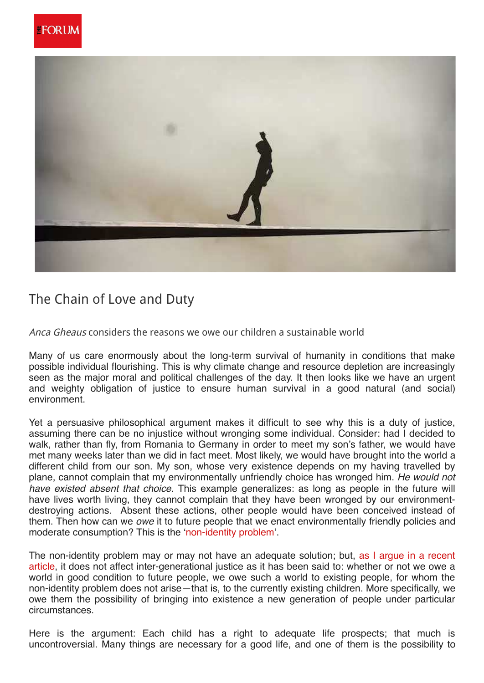



## The Chain of Love and Duty

Anca Gheaus considers the reasons we owe our children a sustainable world

Many of us care enormously about the long-term survival of humanity in conditions that make possible individual flourishing. This is why climate change and resource depletion are increasingly seen as the major moral and political challenges of the day. It then looks like we have an urgent and weighty obligation of justice to ensure human survival in a good natural (and social) environment.

Yet a persuasive philosophical argument makes it difficult to see why this is a duty of justice, assuming there can be no injustice without wronging some individual. Consider: had I decided to walk, rather than fly, from Romania to Germany in order to meet my son's father, we would have met many weeks later than we did in fact meet. Most likely, we would have brought into the world a different child from our son. My son, whose very existence depends on my having travelled by plane, cannot complain that my environmentally unfriendly choice has wronged him. He would not have existed absent that choice. This example generalizes: as long as people in the future will have lives worth living, they cannot complain that they have been wronged by our environmentdestroying actions. Absent these actions, other people would have been conceived instead of them. Then how can we *owe* it to future people that we enact environmentally friendly policies and moderate consumption? This is the 'non-identity problem'.

The non-identity problem may or may not have an adequate solution; but, as I argue in a recent article, it does not affect inter-generational justice as it has been said to: whether or not we owe a world in good condition to future people, we owe such a world to existing people, for whom the non-identity problem does not arise—that is, to the currently existing children. More specifically, we owe them the possibility of bringing into existence a new generation of people under particular circumstances.

Here is the argument: Each child has a right to adequate life prospects; that much is uncontroversial. Many things are necessary for a good life, and one of them is the possibility to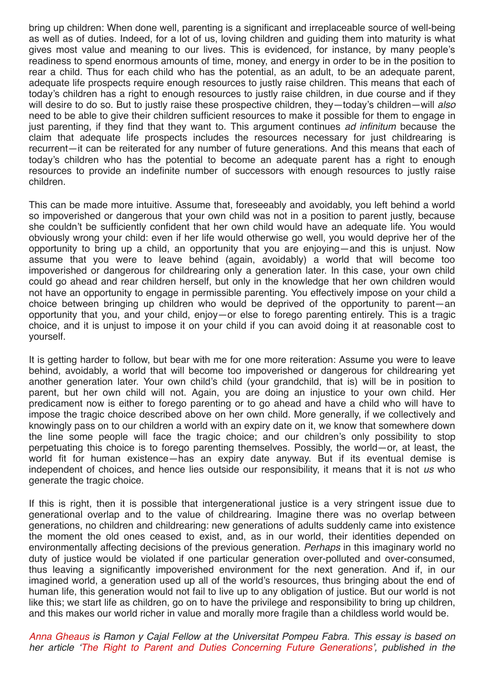bring up children: When done well, parenting is a significant and irreplaceable source of well-being as well as of duties. Indeed, for a lot of us, loving children and guiding them into maturity is what gives most value and meaning to our lives. This is evidenced, for instance, by many people's readiness to spend enormous amounts of time, money, and energy in order to be in the position to rear a child. Thus for each child who has the potential, as an adult, to be an adequate parent, adequate life prospects require enough resources to justly raise children. This means that each of today's children has a right to enough resources to justly raise children, in due course and if they will desire to do so. But to justly raise these prospective children, they—today's children—will also need to be able to give their children sufficient resources to make it possible for them to engage in just parenting, if they find that they want to. This argument continues ad infinitum because the claim that adequate life prospects includes the resources necessary for just childrearing is recurrent—it can be reiterated for any number of future generations. And this means that each of today's children who has the potential to become an adequate parent has a right to enough resources to provide an indefinite number of successors with enough resources to justly raise children.

This can be made more intuitive. Assume that, foreseeably and avoidably, you left behind a world so impoverished or dangerous that your own child was not in a position to parent justly, because she couldn't be sufficiently confident that her own child would have an adequate life. You would obviously wrong your child: even if her life would otherwise go well, you would deprive her of the opportunity to bring up a child, an opportunity that you are enjoying—and this is unjust. Now assume that you were to leave behind (again, avoidably) a world that will become too impoverished or dangerous for childrearing only a generation later. In this case, your own child could go ahead and rear children herself, but only in the knowledge that her own children would not have an opportunity to engage in permissible parenting. You effectively impose on your child a choice between bringing up children who would be deprived of the opportunity to parent—an opportunity that you, and your child, enjoy—or else to forego parenting entirely. This is a tragic choice, and it is unjust to impose it on your child if you can avoid doing it at reasonable cost to yourself.

It is getting harder to follow, but bear with me for one more reiteration: Assume you were to leave behind, avoidably, a world that will become too impoverished or dangerous for childrearing yet another generation later. Your own child's child (your grandchild, that is) will be in position to parent, but her own child will not. Again, you are doing an injustice to your own child. Her predicament now is either to forego parenting or to go ahead and have a child who will have to impose the tragic choice described above on her own child. More generally, if we collectively and knowingly pass on to our children a world with an expiry date on it, we know that somewhere down the line some people will face the tragic choice; and our children's only possibility to stop perpetuating this choice is to forego parenting themselves. Possibly, the world—or, at least, the world fit for human existence—has an expiry date anyway. But if its eventual demise is independent of choices, and hence lies outside our responsibility, it means that it is not us who generate the tragic choice.

If this is right, then it is possible that intergenerational justice is a very stringent issue due to generational overlap and to the value of childrearing. Imagine there was no overlap between generations, no children and childrearing: new generations of adults suddenly came into existence the moment the old ones ceased to exist, and, as in our world, their identities depended on environmentally affecting decisions of the previous generation. Perhaps in this imaginary world no duty of justice would be violated if one particular generation over-polluted and over-consumed, thus leaving a significantly impoverished environment for the next generation. And if, in our imagined world, a generation used up all of the world's resources, thus bringing about the end of human life, this generation would not fail to live up to any obligation of justice. But our world is not like this; we start life as children, go on to have the privilege and responsibility to bring up children, and this makes our world richer in value and morally more fragile than a childless world would be.

Anna Gheaus is Ramon y Cajal Fellow at the Universitat Pompeu Fabra. This essay is based on her article 'The Right to Parent and Duties Concerning Future Generations', published in the